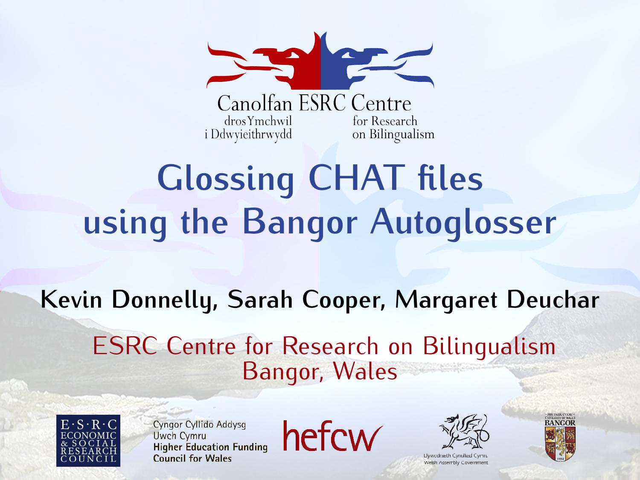

## **Glossing CHAT files using the Bangor Autoglosser**

#### **Kevin Donnelly, Sarah Cooper, Margaret Deuchar** ESRC Centre for Research on Bilingualism Bangor, Wales

<span id="page-0-0"></span>

Cyngor Cyllido Addysa **Uwch Cymru Higher Education Funding** Council for Wales





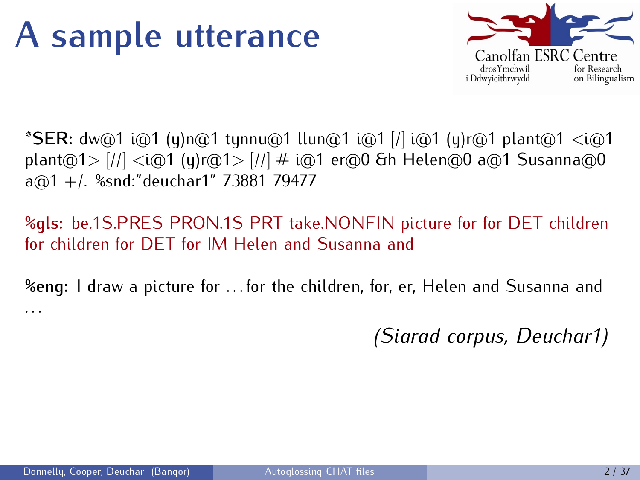#### **A sample utterance**



**\*SER:** dw@1 i@1 (y)n@1 tynnu@1 llun@1 i@1 [/] i@1 (y)r@1 plant@1 *<*i@1 plant@1*>* [//] *<*i@1 (y)r@1*>* [//] # i@1 er@0 &h Helen@0 a@1 Susanna@0  $a@1 + l$ . %snd:"deuchar1"\_73881\_79477

#### **%gls:** be.1S.PRES PRON.1S PRT take.NONFIN picture for for DET children for children for DET for IM Helen and Susanna and

**%eng:** I draw a picture for . . . for the children, for, er, Helen and Susanna and . . .

*(Siarad corpus, Deuchar1)*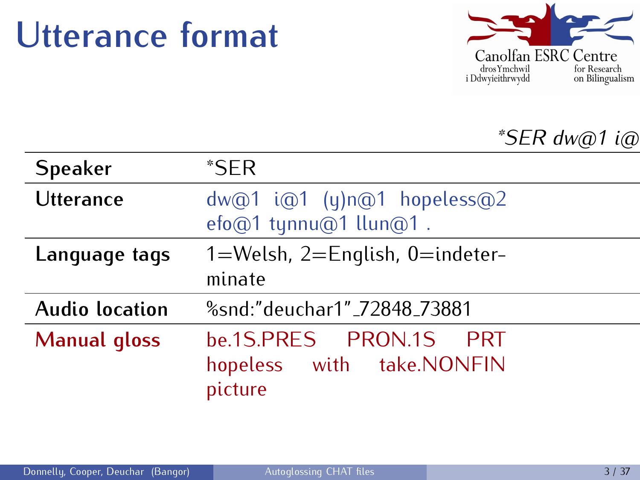#### **Utterance format**



#### *\*SER dw@1 i@1 (y)n@1 hopeless@2 efo@1 tynnu@1 llun@1 . %snd:"deuchar1" 72848 73881*

| <b>Speaker</b>        | $*$ SER                                             |
|-----------------------|-----------------------------------------------------|
| <b>Utterance</b>      | dw@1 i@1 (y)n@1 hopeless@2<br>efo@1 tynnu@1 llun@1. |
| Language tags         | $1=$ Welsh, 2=English, 0=indeter-                   |
|                       | minate                                              |
| <b>Audio location</b> | %snd:"deuchar1"_72848_73881                         |
| <b>Manual gloss</b>   | be.1S.PRES PRON.1S PRT                              |
|                       | hopeless with take.NONFIN<br>picture                |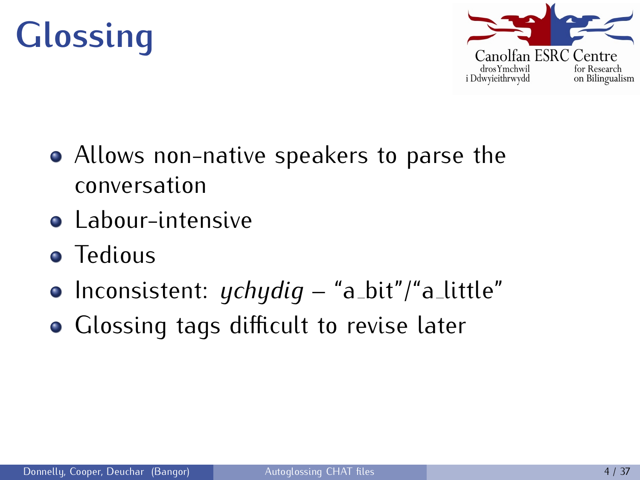



- Allows non-native speakers to parse the conversation
- Labour-intensive
- Tedious
- Inconsistent: *ychydig* "a\_bit"/"a\_little"
- Glossing tags difficult to revise later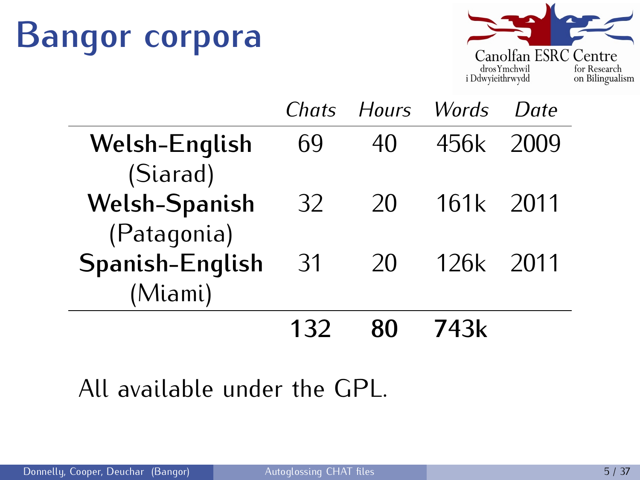## **Bangor corpora**



|                      |     | Chats Hours Words |           | $I$ ) $a$ te |
|----------------------|-----|-------------------|-----------|--------------|
| Welsh-English        | 69  | 40                | 456k      | 2009         |
| (Siarad)             |     |                   |           |              |
| <b>Welsh-Spanish</b> | 32  | 20                | 161k 2011 |              |
| (Patagonia)          |     |                   |           |              |
| Spanish-English      | -31 | 20                | 126k 2011 |              |
| (Miami)              |     |                   |           |              |
|                      | 132 |                   | 743k      |              |

#### All available under the GPL.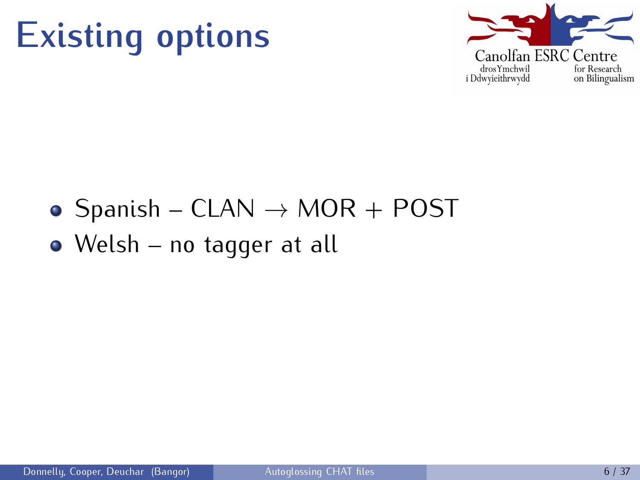



- Spanish CLAN  $\rightarrow$  MOR + POST
- Welsh no tagger at all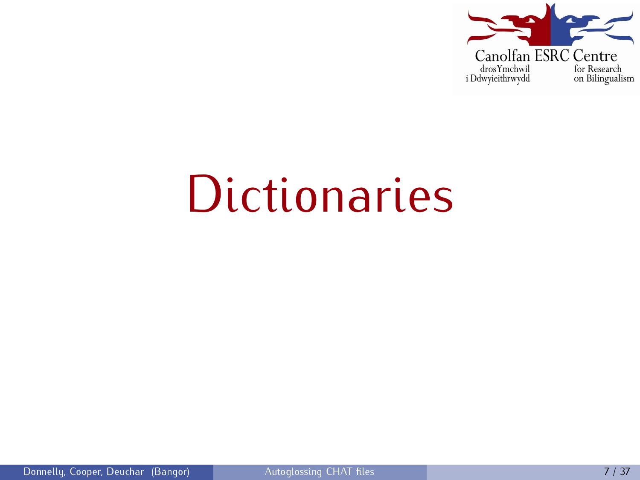

# **Dictionaries**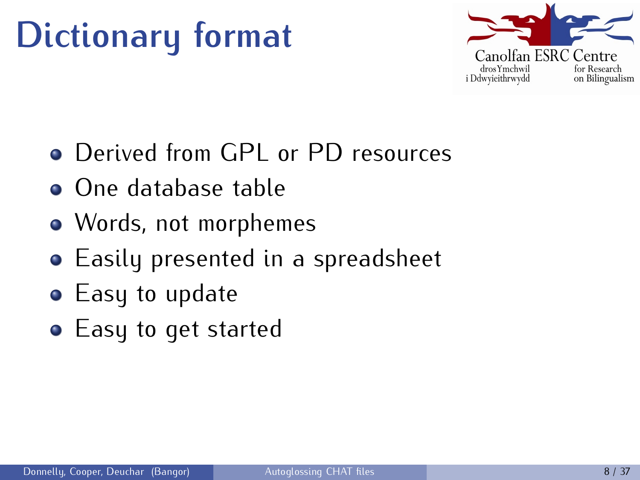## **Dictionary format**



- Derived from GPL or PD resources
- One database table
- Words, not morphemes
- Easily presented in a spreadsheet
- Easy to update
- **•** Easy to get started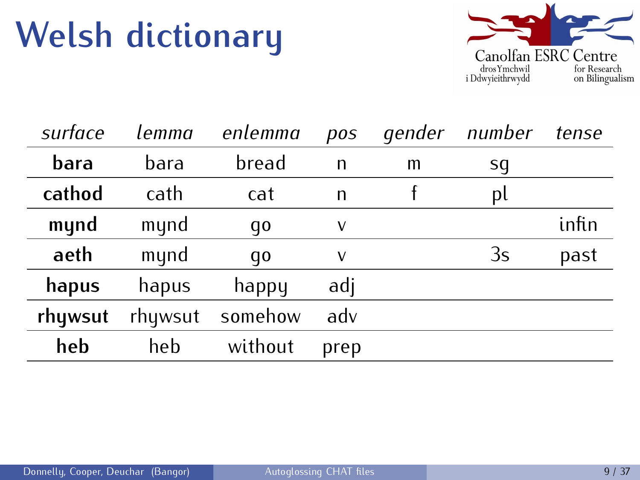### **Welsh dictionary**



| surface | lemma   | enlemma | pos  | gender | number | tense |
|---------|---------|---------|------|--------|--------|-------|
| bara    | bara    | bread   | n    | m      | sq     |       |
| cathod  | cath    | cat     | n    |        | pl     |       |
| mynd    | mynd    | qo      | v    |        |        | infin |
| aeth    | mynd    | qo      | ٧    |        | 3s     | past  |
| hapus   | hapus   | happy   | adj  |        |        |       |
| rhywsut | rhywsut | somehow | adv  |        |        |       |
| heb     | heb     | without | prep |        |        |       |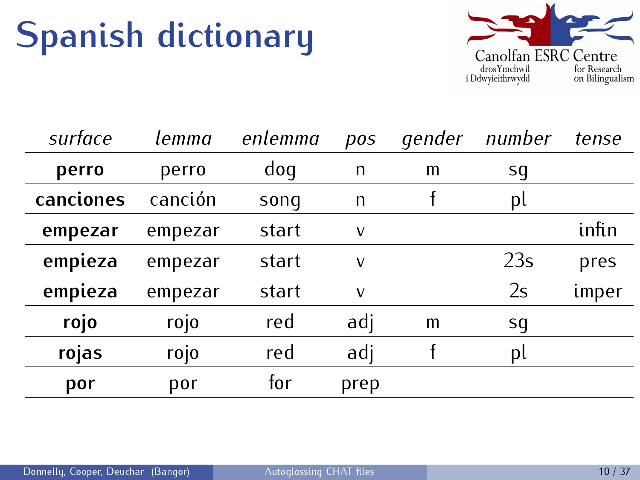### **Spanish dictionary**



| surface   | lemma   | enlemma | pos  | gender | number | tense |
|-----------|---------|---------|------|--------|--------|-------|
| perro     | perro   | doq     | n    | m      | sg     |       |
| canciones | canción | sonq    | n    |        | pl     |       |
| empezar   | empezar | start   | V    |        |        | infin |
| empieza   | empezar | start   | v    |        | 23s    | pres  |
| empieza   | empezar | start   | v    |        | 2s     | imper |
| rojo      | rojo    | red     | adj  | m      | sq     |       |
| rojas     | rojo    | red     | adj  |        | pl     |       |
| por       | por     | for     | prep |        |        |       |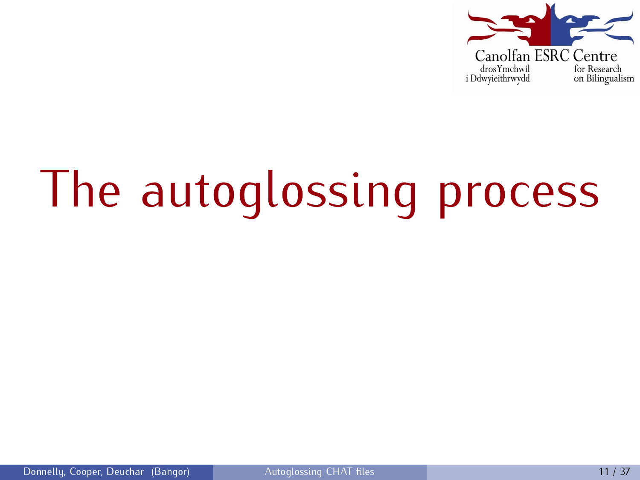

# The autoglossing process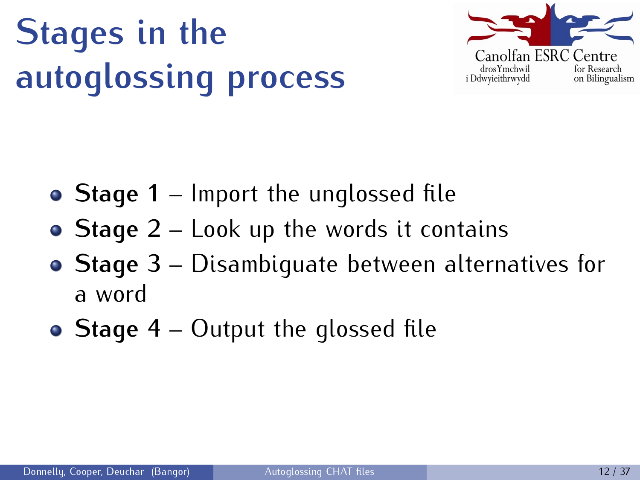# **Stages in the autoglossing process**



- **Stage 1** Import the unglossed file
- **Stage 2** Look up the words it contains
- **Stage 3** Disambiguate between alternatives for a word
- **Stage 4** Output the glossed file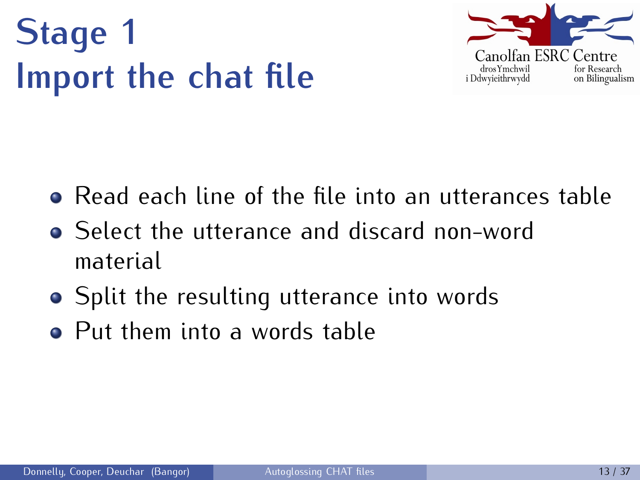# **Stage 1 Import the chat file**



- Read each line of the file into an utterances table
- Select the utterance and discard non-word material
- Split the resulting utterance into words
- Put them into a words table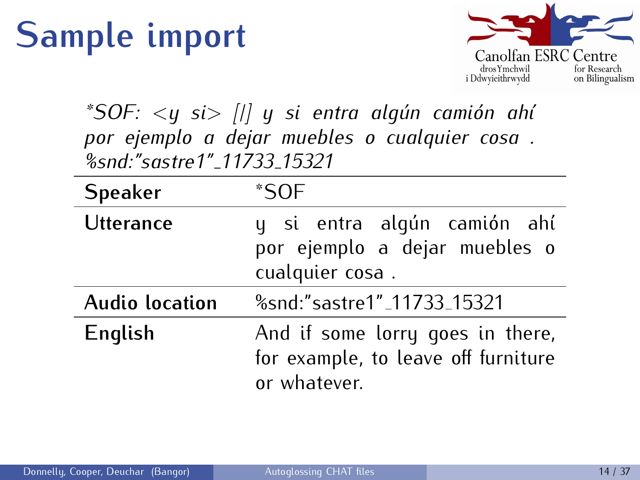### **Sample import**



*\*SOF:*  $\langle y \rangle$  *si*  $\rangle$  *[|]*  $\langle y \rangle$  *si* entra algún camión ahí *por ejemplo a dejar muebles o cualquier cosa . %snd:"sastre1" 11733 15321*

| <b>Speaker</b>        | *SOF                                                                                    |
|-----------------------|-----------------------------------------------------------------------------------------|
| <b>Utterance</b>      | y si entra algún camión ahí<br>por ejemplo a dejar muebles o<br>cualquier cosa.         |
| <b>Audio location</b> | %snd:"sastre1"_11733_15321                                                              |
| English               | And if some lorry goes in there,<br>for example, to leave off furniture<br>or whatever. |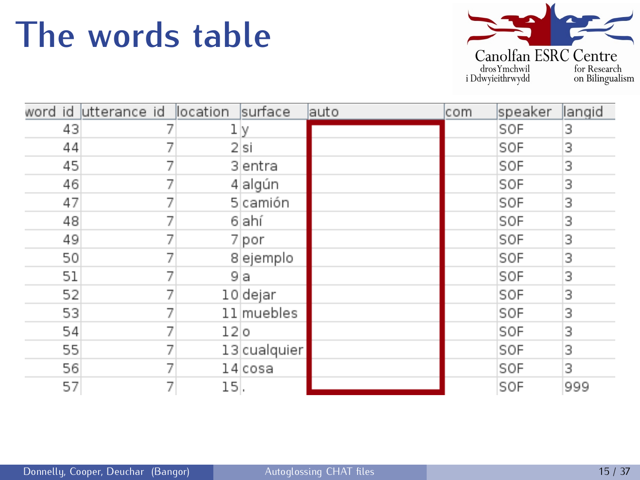#### **The words table**



|    | word id utterance id location |                 | surface      | lauto | com | speaker | langid |
|----|-------------------------------|-----------------|--------------|-------|-----|---------|--------|
| 43 |                               | lγ              |              |       |     | SOF     | 3      |
| 44 |                               |                 | 2 si         |       |     | SOF     | 3      |
| 45 |                               |                 | 3 entra      |       |     | SOF     | 3      |
| 46 |                               |                 | 4 algún      |       |     | SOF     | 3      |
| 47 | J.                            |                 | 5 camión     |       |     | SOF     | 3      |
| 48 | 7                             |                 | 6 ahí        |       |     | SOF     | 3      |
| 49 |                               |                 | 7 por        |       |     | SOF     | 3      |
| 50 |                               |                 | 8 ejemplo    |       |     | SOF     | 3      |
| 51 | 7                             | 9 a             |              |       |     | SOF     | 3      |
| 52 |                               |                 | 10 dejar     |       |     | SOF     | 3      |
| 53 |                               |                 | 11 muebles   |       |     | SOF     | 3      |
| 54 | 7                             | 12 <sub>0</sub> |              |       |     | SOF     | 3      |
| 55 |                               |                 | 13 cualquier |       |     | SOF     | 3      |
| 56 |                               |                 | $14$ cosa    |       |     | SOF     | 3      |
| 57 | 7                             | 15.             |              |       |     | SOF     | 999    |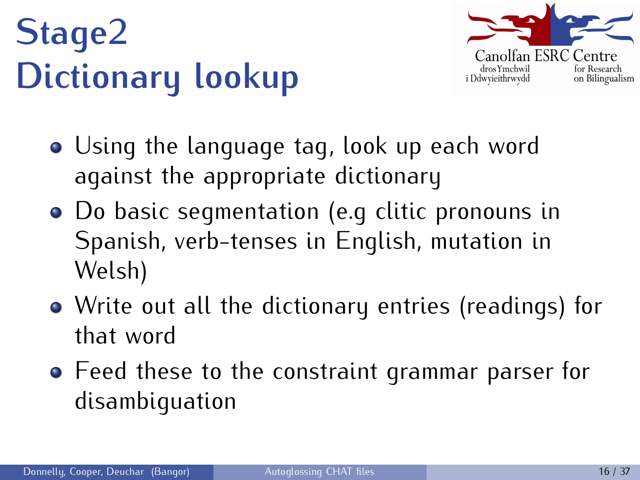# **Stage2 Dictionary lookup**



- Using the language tag, look up each word against the appropriate dictionary
- Do basic segmentation (e.g clitic pronouns in Spanish, verb-tenses in English, mutation in Welsh)
- Write out all the dictionary entries (readings) for that word
- Feed these to the constraint grammar parser for disambiguation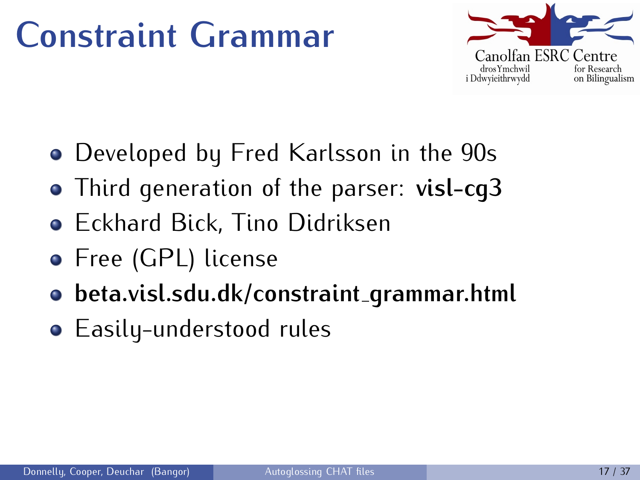#### **Constraint Grammar**



- Developed by Fred Karlsson in the 90s
- Third generation of the parser: **visl-cg3**
- Eckhard Bick, Tino Didriksen
- **•** Free (GPL) license
- **beta.visl.sdu.dk/constraint grammar.html**
- Easily-understood rules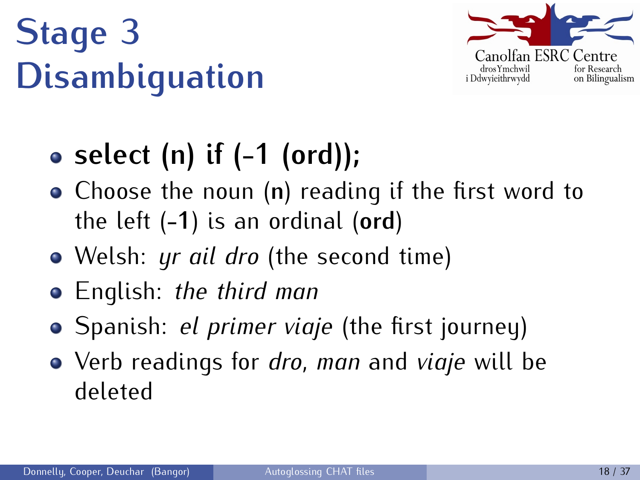# **Stage 3 Disambiguation**



#### **select (n) if (-1 (ord));**

- Choose the noun (**n**) reading if the first word to the left (**-1**) is an ordinal (**ord**)
- Welsh: *yr ail dro* (the second time)
- English: *the third man*
- Spanish: *el primer viaje* (the first journey)
- Verb readings for *dro*, *man* and *viaje* will be deleted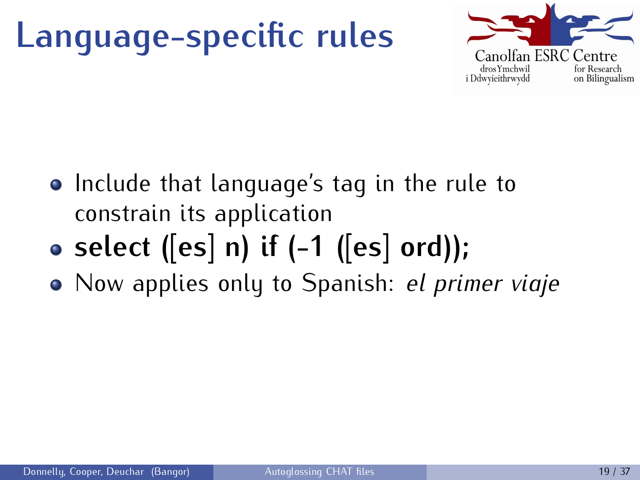## **Language-specific rules**



- Include that language's tag in the rule to constrain its application
- **select ([es] n) if (-1 ([es] ord));**
- Now applies only to Spanish: *el primer viaje*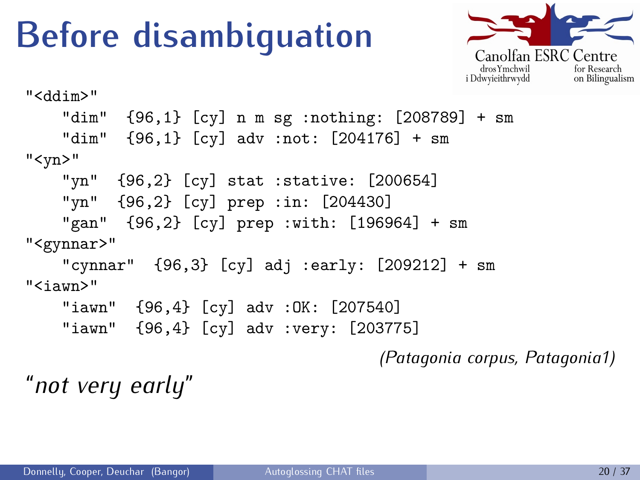### **Before disambiguation**



```
"<ddim>"
   "dim" {96,1} [cy] n m sg :nothing: [208789] + sm
    "dim" {96,1} [cy] adv :not: [204176] + sm
"<yn>"
    "yn" {96,2} [cy] stat :stative: [200654]
   "yn" {96,2} [cy] prep :in: [204430]
    "gan" {96,2} [cy] prep :with: [196964] + sm
"<gynnar>"
   "cynnar" {96,3} [cy] adj :early: [209212] + sm
"<iawn>"
   "iawn" {96,4} [cy] adv :OK: [207540]
    "iawn" {96,4} [cy] adv :very: [203775]
```
*(Patagonia corpus, Patagonia1)*

"*not very early*"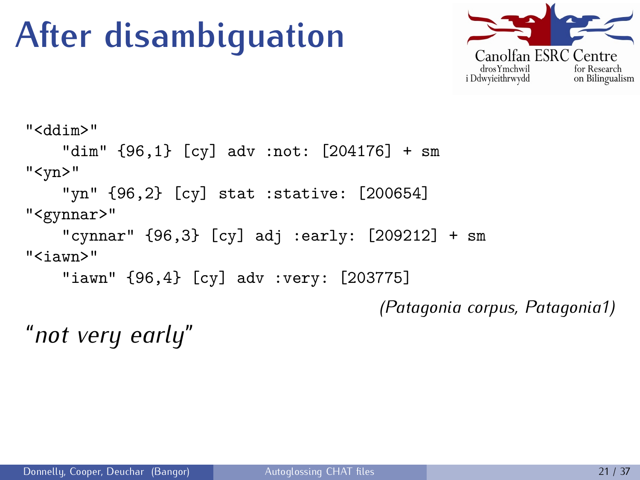### **After disambiguation**



```
"<ddim>"
    "dim" {96,1} [cy] adv :not: [204176] + sm
"<yn>"
    "yn" {96,2} [cy] stat :stative: [200654]
"<gynnar>"
    "cynnar" {96,3} [cy] adj :early: [209212] + sm
"<iawn>"
    "iawn" {96,4} [cy] adv :very: [203775]
                                        (Patagonia corpus, Patagonia1)
```
"*not very early*"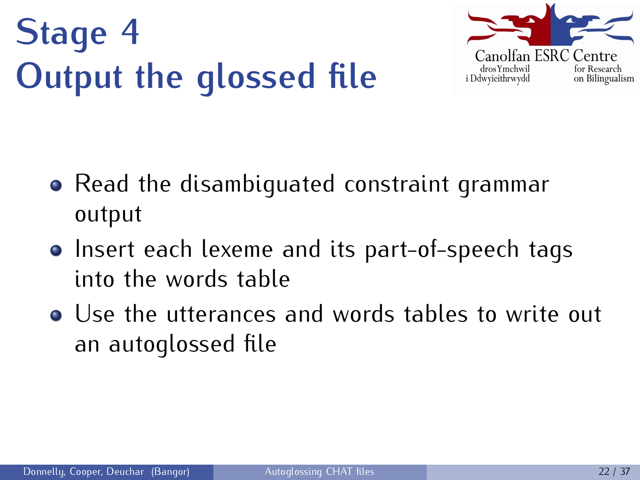# **Stage 4 Output the glossed file**



- Read the disambiquated constraint grammar output
- Insert each lexeme and its part-of-speech tags into the words table
- Use the utterances and words tables to write out an autoglossed file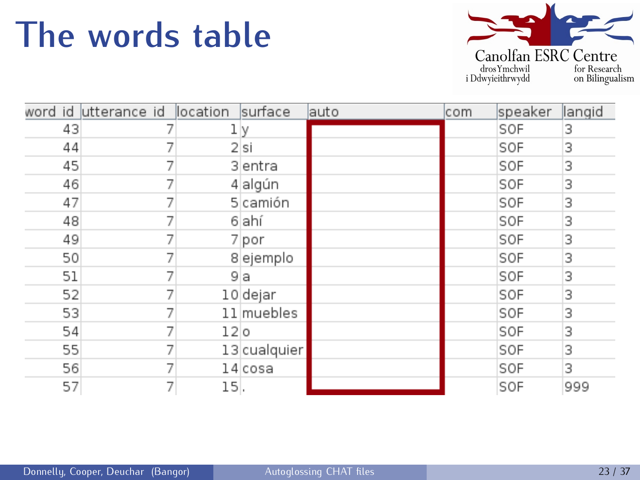#### **The words table**



|    | word id utterance id location |                 | surface      | lauto | com | speaker | langid |
|----|-------------------------------|-----------------|--------------|-------|-----|---------|--------|
| 43 |                               | lγ              |              |       |     | SOF     | 3      |
| 44 |                               |                 | 2 si         |       |     | SOF     | 3      |
| 45 |                               |                 | 3 entra      |       |     | SOF     | 3      |
| 46 |                               |                 | 4 algún      |       |     | SOF     | 3      |
| 47 | J.                            |                 | 5 camión     |       |     | SOF     | 3      |
| 48 | 7                             |                 | 6 ahí        |       |     | SOF     | 3      |
| 49 |                               |                 | 7 por        |       |     | SOF     | 3      |
| 50 |                               |                 | 8 ejemplo    |       |     | SOF     | 3      |
| 51 | 7                             | 9 a             |              |       |     | SOF     | 3      |
| 52 |                               |                 | 10 dejar     |       |     | SOF     | 3      |
| 53 |                               |                 | 11 muebles   |       |     | SOF     | 3      |
| 54 | 7                             | 12 <sub>0</sub> |              |       |     | SOF     | 3      |
| 55 |                               |                 | 13 cualquier |       |     | SOF     | 3      |
| 56 |                               |                 | $14$ cosa    |       |     | SOF     | 3      |
| 57 | 7                             | 15.             |              |       |     | SOF     | 999    |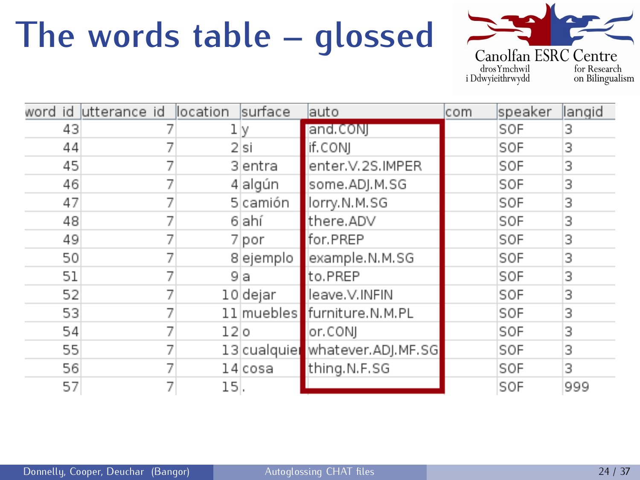### **The words table – glossed**



|    | word id utterance id location |                 | surface   | lauto                           | com | speaker | llangid |
|----|-------------------------------|-----------------|-----------|---------------------------------|-----|---------|---------|
| 43 |                               | lγ              |           | and.CON                         |     | SOF     | 3       |
| 44 |                               |                 | 2 si      | if.CONJ                         |     | SOF     | 3       |
| 45 |                               |                 | 3 entra   | enter.V.2S.IMPER                |     | SOF     | 3       |
| 46 |                               |                 | 4 algún   | some.ADJ.M.SG                   |     | SOF     | 3       |
| 47 |                               |                 | 5 camión  | lorry.N.M.SG                    |     | SOF     | 3       |
| 48 |                               |                 | 6 ahí     | there.ADV                       |     | SOF     | 3       |
| 49 |                               |                 | 7 por     | for.PREP                        |     | SOF     | 3       |
| 50 |                               |                 | 8 ejemplo | example.N.M.SG                  |     | SOF     | 3       |
| 51 |                               | 9 a             |           | to.PREP                         |     | SOF     | 3       |
| 52 |                               |                 | 10 dejar  | leave.V.INFIN                   |     | SOF     | 3       |
| 53 |                               |                 |           | 11 muebles furniture.N.M.PL     |     | SOF     | 3       |
| 54 |                               | 12 <sub>0</sub> |           | or.CONI                         |     | SOF     | 3       |
| 55 |                               |                 |           | 13 cualquier whatever.ADJ.MF.SG |     | SOF     | 3       |
| 56 |                               |                 | 14 cosa   | thing.N.F.SG                    |     | SOF     | 3       |
| 57 |                               | 15.             |           |                                 |     | SOF     | 999     |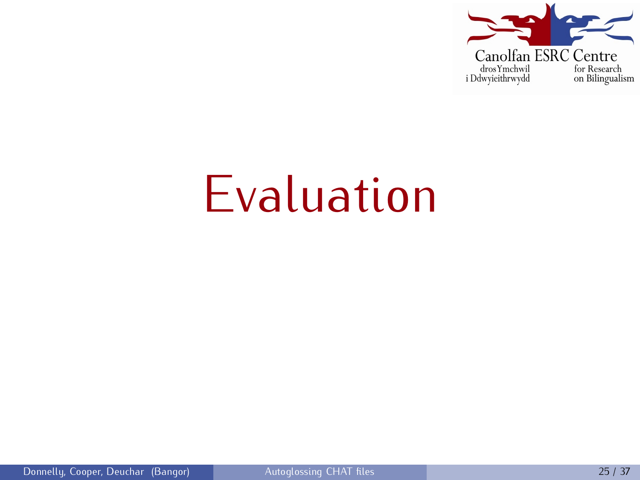

# Evaluation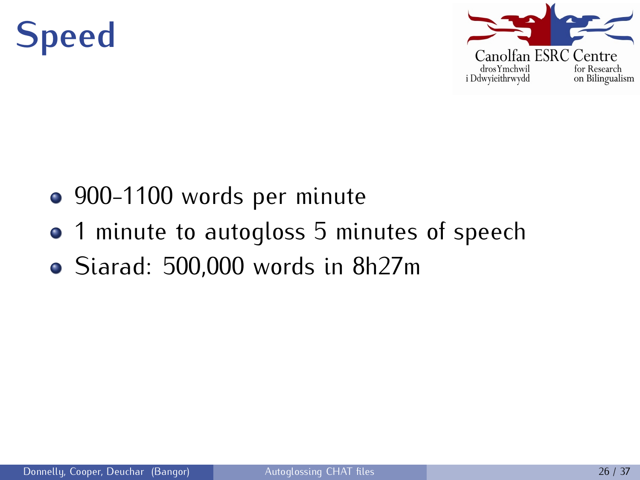### **Speed**



- 900-1100 words per minute
- 1 minute to autogloss 5 minutes of speech
- Siarad: 500,000 words in 8h27m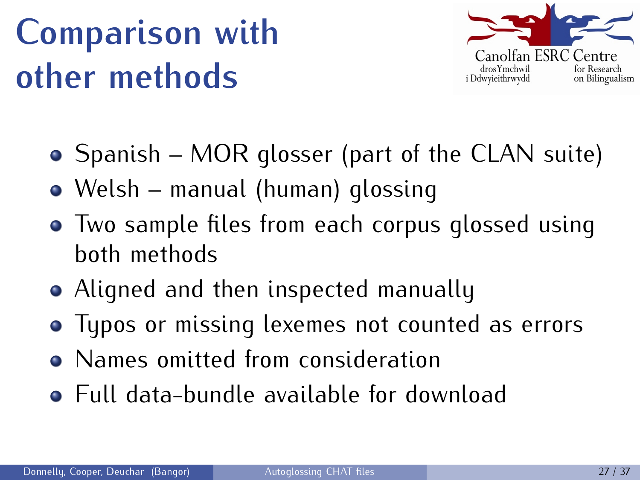## **Comparison with other methods**



- Spanish MOR glosser (part of the CLAN suite)
- Welsh manual (human) glossing
- Two sample files from each corpus glossed using both methods
- Aligned and then inspected manually
- Typos or missing lexemes not counted as errors
- Names omitted from consideration
- Full data-bundle available for download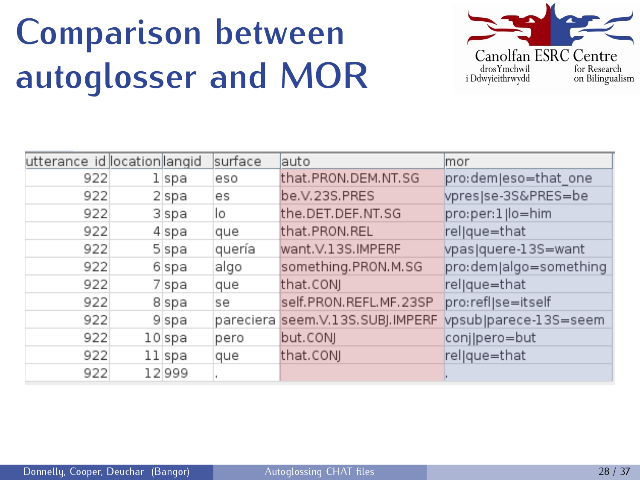## **Comparison between autoglosser and MOR**



| utterance id location langid |        | surface | lauto                            | lmor                   |
|------------------------------|--------|---------|----------------------------------|------------------------|
| 922                          | l spa  | eso     | that.PRON.DEM.NT.SG              | pro:dem eso=that one   |
| 922                          | 2 spa  | es      | be.V.23S.PRES                    | vpresjse-3S&PRES=be    |
| 922                          | 3 spa  | Ιo      | the.DET.DEF.NT.SG                | pro:per:1 lo=him       |
| 922                          | 4 spa  | que     | that.PRON.REL                    | rel que=that           |
| 922                          | 5 spa  | quería  | want.V.13S.IMPERF                | vpas quere-13S=want    |
| 922                          | 6 spa  | algo    | something.PRON.M.SG              | pro:dem algo=something |
| 922                          | 7 spa  | que     | that.CONJ                        | rel que=that           |
| 922                          | 8 spa  | se      | self.PRON.REFL.MF.23SP           | pro:refl se=itself     |
| 922                          | 9 spa  |         | pareciera seem.V.13S.SUBJ.IMPERF | vpsub parece-13S=seem  |
| 922                          | 10 spa | pero    | but.CONJ                         | conj pero=but          |
| 922                          | 11 spa | que     | that.CONJ                        | rel que=that           |
| 922                          | 12999  |         |                                  |                        |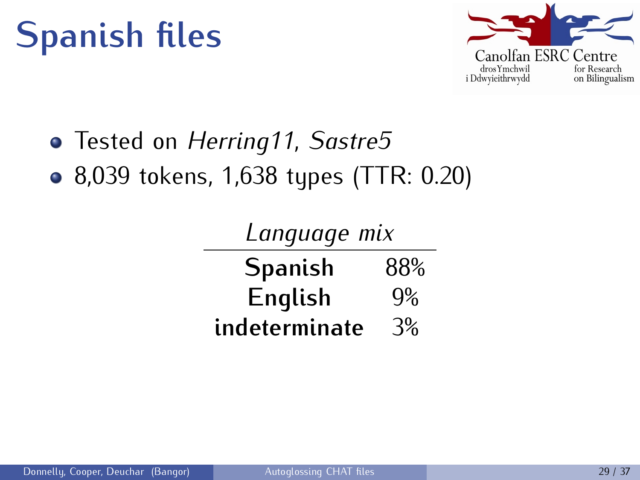

Tested on *Herring11*, *Sastre5*

-

• 8,039 tokens, 1,638 types (TTR: 0.20)

| Language mix   |     |  |  |  |
|----------------|-----|--|--|--|
| <b>Spanish</b> | 88% |  |  |  |
| English        | 9%  |  |  |  |
| indeterminate  | 3%  |  |  |  |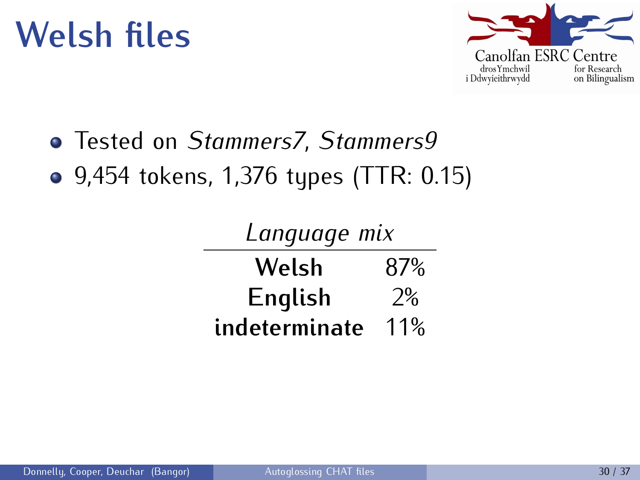

Tested on *Stammers7*, *Stammers9*

 $\overline{\phantom{0}}$ 

• 9,454 tokens, 1,376 types (TTR: 0.15)

| Language mix  |     |  |  |  |
|---------------|-----|--|--|--|
| Welsh         | 87% |  |  |  |
| English       | 2%  |  |  |  |
| indeterminate | 11% |  |  |  |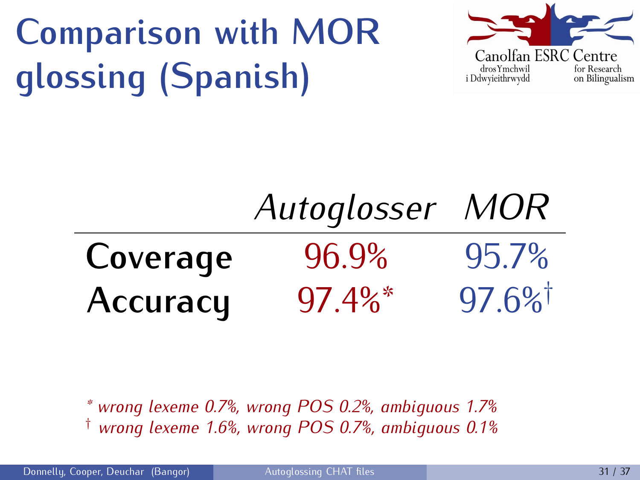# **Comparison with MOR glossing (Spanish)**



# *Autoglosser MOR* **Coverage** 96.9% 95.7% **Accuracy** 97.4%\* 97.6%†

*\* wrong lexeme 0.7%, wrong POS 0.2%, ambiguous 1.7%* † *wrong lexeme 1.6%, wrong POS 0.7%, ambiguous 0.1%*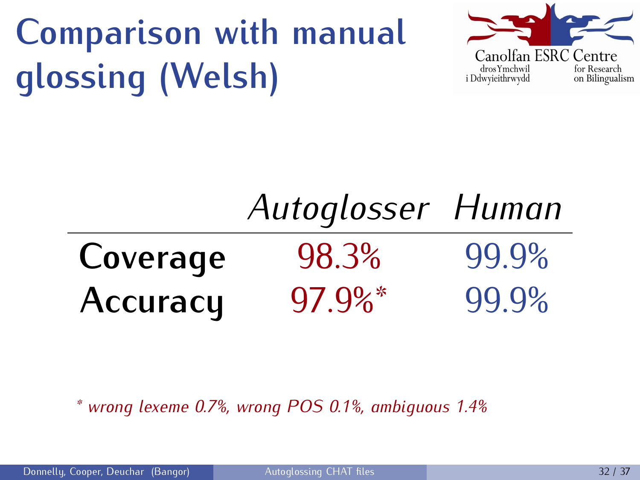# **Comparison with manual glossing (Welsh)**



# *Autoglosser Human* **Coverage** 98.3% 99.9% **Accuracy** 97.9%\* 99.9%

*\* wrong lexeme 0.7%, wrong POS 0.1%, ambiguous 1.4%*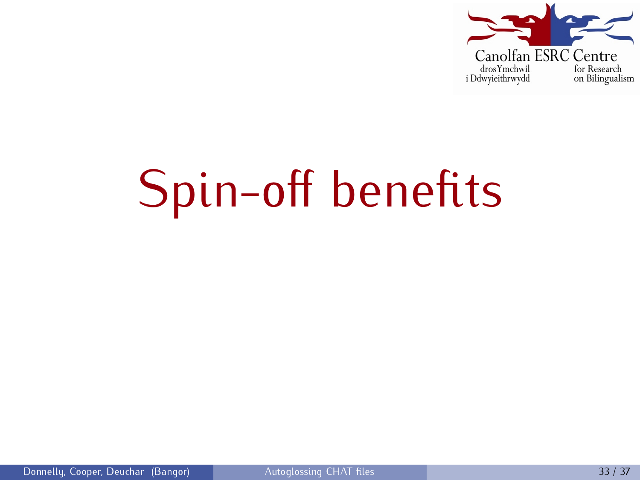

# Spin-off benefits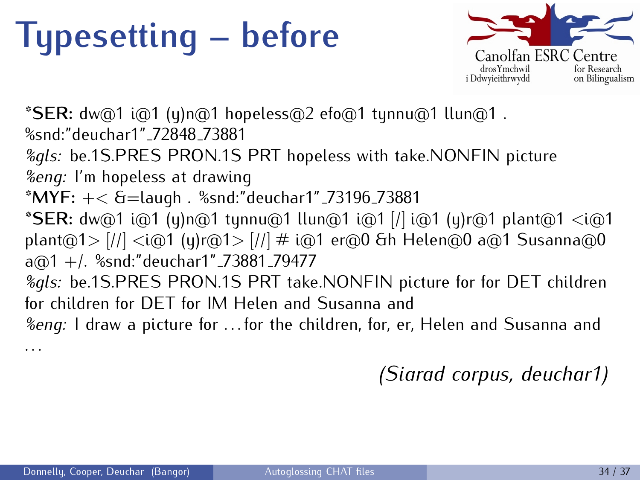### **Typesetting – before**



**\*SER:** dw@1 i@1 (y)n@1 hopeless@2 efo@1 tynnu@1 llun@1 . %snd:"deuchar1" 72848 73881 *%gls:* be.1S.PRES PRON.1S PRT hopeless with take.NONFIN picture *%eng:* I'm hopeless at drawing **\*MYF:** +*<* &=laugh . %snd:"deuchar1" 73196 73881 **\*SER:** dw@1 i@1 (y)n@1 tynnu@1 llun@1 i@1 [/] i@1 (y)r@1 plant@1 *<*i@1 plant@1*>* [//] *<*i@1 (y)r@1*>* [//] # i@1 er@0 &h Helen@0 a@1 Susanna@0 a@1 +/. %snd:"deuchar1"\_73881\_79477 *%gls:* be.1S.PRES PRON.1S PRT take.NONFIN picture for for DET children for children for DET for IM Helen and Susanna and *%eng:* I draw a picture for . . . for the children, for, er, Helen and Susanna and

*(Siarad corpus, deuchar1)*

. . .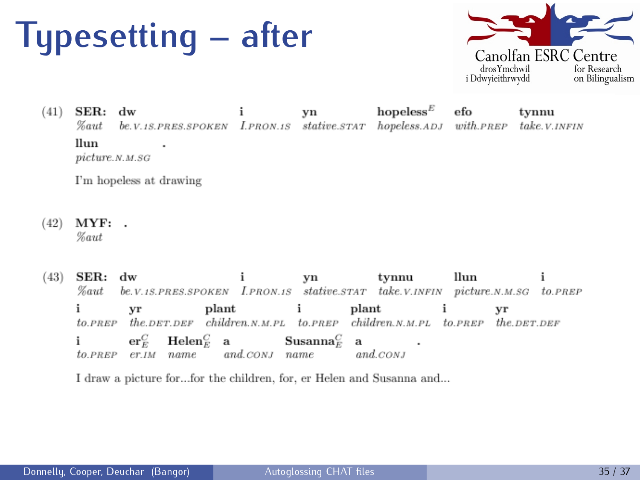#### **Typesetting – after**



hopeless $E$  $(41)$  $\rm{SER.}$  $dw$ ÷ efo vn tynnu **Zaut** be.V.1S.PRES.SPOKEN LPRON.1S stative.STAT hopeless.ADJ with.PREP take.V.INFIN llun.  $\cdot$  $picture. N.M. SG$ 

I'm hopeless at drawing

- $(42)$  $MYF:$ . **Zaut**
- $(43)$  ${\bf SER}$  : dw tynnu llun yn be.V.1S.PRES.SPOKEN I.PRON.1S stative.STAT take.V.INFIN picture.N.M.SG to.PREP  $\%$ aut i plant plant yr i yr  $the$   $DEF$   $DEF$   $children$ ,  $N$ ,  $PL$   $to$   $PREF$   $children$ ,  $N$ ,  $PL$   $to$   $PREF$   $the$ ,  $DEF$   $DEF$  $to.PREF$  $\mathbf{er}^C_F$  $\mathbf{H}$ elen $^C_E$  $\mathbf{S}$ usanna $^C_F$  $\mathbf{a}$  $\mathbf{a}$ ٠ and.cons name and.CONJ  $to.PREF$   $er$ .IM name

I draw a picture for...for the children, for, er Helen and Susanna and...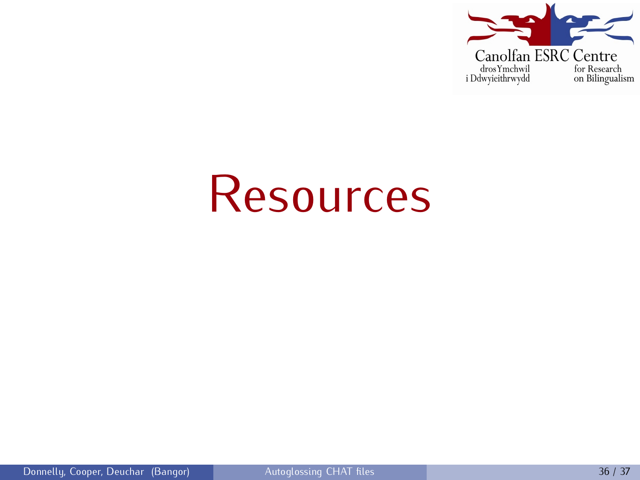

# **Resources**